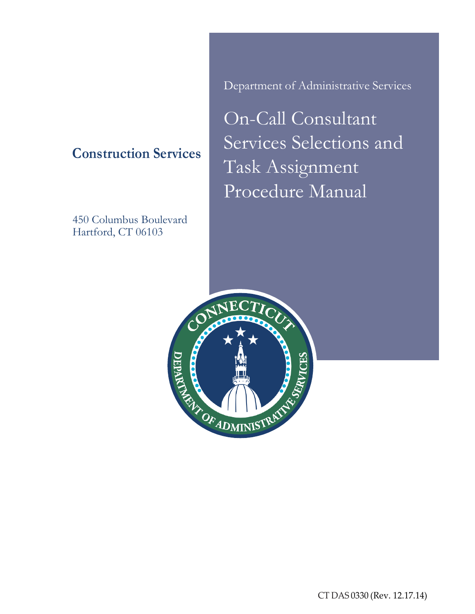# **Construction Services**

450 Columbus Boulevard Hartford, CT 06103

Department of Administrative Services

On-Call Consultant Services Selections and Task Assignment Procedure Manual

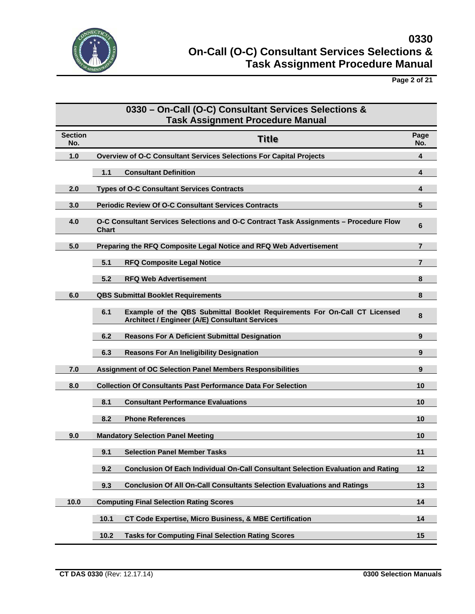

**Page 2 of 21**

|                       | 0330 - On-Call (O-C) Consultant Services Selections &<br><b>Task Assignment Procedure Manual</b>                                   |                |
|-----------------------|------------------------------------------------------------------------------------------------------------------------------------|----------------|
| <b>Section</b><br>No. | <b>Title</b>                                                                                                                       | Page<br>No.    |
| 1.0                   | Overview of O-C Consultant Services Selections For Capital Projects                                                                | 4              |
|                       | <b>Consultant Definition</b><br>1.1                                                                                                | 4              |
| 2.0                   | <b>Types of O-C Consultant Services Contracts</b>                                                                                  | 4              |
| 3.0                   | <b>Periodic Review Of O-C Consultant Services Contracts</b>                                                                        | $5\phantom{1}$ |
| 4.0                   | O-C Consultant Services Selections and O-C Contract Task Assignments - Procedure Flow<br>Chart                                     | 6              |
| 5.0                   | Preparing the RFQ Composite Legal Notice and RFQ Web Advertisement                                                                 | 7              |
|                       | 5.1<br><b>RFQ Composite Legal Notice</b>                                                                                           | 7              |
|                       | 5.2<br><b>RFQ Web Advertisement</b>                                                                                                | 8              |
| 6.0                   | <b>QBS Submittal Booklet Requirements</b>                                                                                          | 8              |
|                       | 6.1<br>Example of the QBS Submittal Booklet Requirements For On-Call CT Licensed<br>Architect / Engineer (A/E) Consultant Services | 8              |
|                       | 6.2<br><b>Reasons For A Deficient Submittal Designation</b>                                                                        | 9              |
|                       | 6.3<br><b>Reasons For An Ineligibility Designation</b>                                                                             | 9              |
| 7.0                   | Assignment of OC Selection Panel Members Responsibilities                                                                          | 9              |
| 8.0                   | <b>Collection Of Consultants Past Performance Data For Selection</b>                                                               | 10             |
|                       | 8.1<br><b>Consultant Performance Evaluations</b>                                                                                   | 10             |
|                       | <b>Phone References</b><br>8.2                                                                                                     | 10             |
| 9.0                   | <b>Mandatory Selection Panel Meeting</b>                                                                                           | 10             |
|                       | <b>Selection Panel Member Tasks</b><br>9.1                                                                                         | 11             |
|                       | <b>Conclusion Of Each Individual On-Call Consultant Selection Evaluation and Rating</b><br>9.2                                     | 12             |
|                       | <b>Conclusion Of All On-Call Consultants Selection Evaluations and Ratings</b><br>9.3                                              | 13             |
| 10.0                  | <b>Computing Final Selection Rating Scores</b>                                                                                     | 14             |
|                       | 10.1<br><b>CT Code Expertise, Micro Business, &amp; MBE Certification</b>                                                          | 14             |
|                       | 10.2<br><b>Tasks for Computing Final Selection Rating Scores</b>                                                                   | 15             |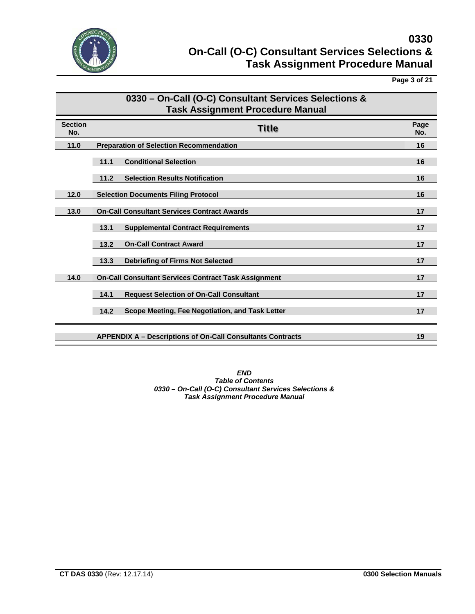

**Page 3 of 21**

|                       | 0330 - On-Call (O-C) Consultant Services Selections &<br><b>Task Assignment Procedure Manual</b> |             |
|-----------------------|--------------------------------------------------------------------------------------------------|-------------|
| <b>Section</b><br>No. | <b>Title</b>                                                                                     | Page<br>No. |
| 11.0                  | <b>Preparation of Selection Recommendation</b>                                                   | 16          |
|                       | 11.1<br><b>Conditional Selection</b>                                                             | 16          |
|                       | 11.2<br><b>Selection Results Notification</b>                                                    | 16          |
| 12.0                  | <b>Selection Documents Filing Protocol</b>                                                       | 16          |
| 13.0                  | <b>On-Call Consultant Services Contract Awards</b>                                               | 17          |
|                       | 13.1<br><b>Supplemental Contract Requirements</b>                                                | 17          |
|                       | 13.2<br><b>On-Call Contract Award</b>                                                            | 17          |
|                       | <b>Debriefing of Firms Not Selected</b><br>13.3                                                  | 17          |
| 14.0                  | <b>On-Call Consultant Services Contract Task Assignment</b>                                      | 17          |
|                       | 14.1<br><b>Request Selection of On-Call Consultant</b>                                           | 17          |
|                       | 14.2<br>Scope Meeting, Fee Negotiation, and Task Letter                                          | 17          |
|                       | <b>APPENDIX A - Descriptions of On-Call Consultants Contracts</b>                                | 19          |

*END Table of Contents 0330 – On-Call (O-C) Consultant Services Selections & Task Assignment Procedure Manual*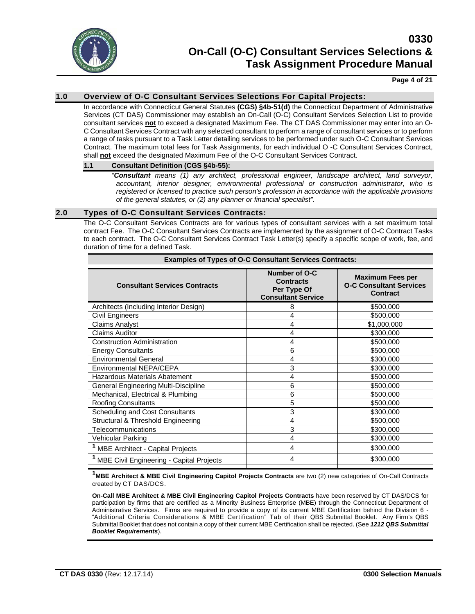

### **Page 4 of 21**

## **1.0 Overview of O-C Consultant Services Selections For Capital Projects:**

In accordance with Connecticut General Statutes **(CGS) §4b-51(d)** the Connecticut Department of Administrative Services (CT DAS) Commissioner may establish an On-Call (O-C) Consultant Services Selection List to provide consultant services **not** to exceed a designated Maximum Fee. The CT DAS Commissioner may enter into an O-C Consultant Services Contract with any selected consultant to perform a range of consultant services or to perform a range of tasks pursuant to a Task Letter detailing services to be performed under such O-C Consultant Services Contract. The maximum total fees for Task Assignments, for each individual O -C Consultant Services Contract, shall **not** exceed the designated Maximum Fee of the O-C Consultant Services Contract.

#### **1.1 Consultant Definition (CGS §4b-55):**

*"Consultant means (1) any architect, professional engineer, landscape architect, land surveyor, accountant, interior designer, environmental professional or construction administrator, who is registered or licensed to practice such person's profession in accordance with the applicable provisions of the general statutes, or (2) any planner or financial specialist".*

#### **2.0 Types of O-C Consultant Services Contracts:**

The O-C Consultant Services Contracts are for various types of consultant services with a set maximum total contract Fee. The O-C Consultant Services Contracts are implemented by the assignment of O-C Contract Tasks to each contract. The O-C Consultant Services Contract Task Letter(s) specify a specific scope of work, fee, and duration of time for a defined Task.

| <b>Examples of Types of O-C Consultant Services Contracts:</b> |                                                                               |                                                                       |
|----------------------------------------------------------------|-------------------------------------------------------------------------------|-----------------------------------------------------------------------|
| <b>Consultant Services Contracts</b>                           | Number of O-C<br><b>Contracts</b><br>Per Type Of<br><b>Consultant Service</b> | <b>Maximum Fees per</b><br><b>O-C Consultant Services</b><br>Contract |
| Architects (Including Interior Design)                         | 8                                                                             | \$500,000                                                             |
| Civil Engineers                                                | 4                                                                             | \$500,000                                                             |
| <b>Claims Analyst</b>                                          | 4                                                                             | \$1,000,000                                                           |
| <b>Claims Auditor</b>                                          | 4                                                                             | \$300,000                                                             |
| <b>Construction Administration</b>                             | 4                                                                             | \$500,000                                                             |
| <b>Energy Consultants</b>                                      | 6                                                                             | \$500,000                                                             |
| <b>Environmental General</b>                                   | 4                                                                             | \$300,000                                                             |
| Environmental NEPA/CEPA                                        | 3                                                                             | \$300,000                                                             |
| Hazardous Materials Abatement                                  | 4                                                                             | \$500,000                                                             |
| General Engineering Multi-Discipline                           | 6                                                                             | \$500,000                                                             |
| Mechanical, Electrical & Plumbing                              | 6                                                                             | \$500,000                                                             |
| <b>Roofing Consultants</b>                                     | 5                                                                             | \$500,000                                                             |
| <b>Scheduling and Cost Consultants</b>                         | 3                                                                             | \$300,000                                                             |
| Structural & Threshold Engineering                             | 4                                                                             | \$500,000                                                             |
| Telecommunications                                             | 3                                                                             | \$300,000                                                             |
| Vehicular Parking                                              | 4                                                                             | \$300,000                                                             |
| <sup>1</sup> MBE Architect - Capital Projects                  | 4                                                                             | \$300,000                                                             |
| <b>MBE Civil Engineering - Capital Projects</b>                | 4                                                                             | \$300,000                                                             |
|                                                                |                                                                               |                                                                       |

**1MBE Architect & MBE Civil Engineering Capitol Projects Contracts** are two (2) new categories of On-Call Contracts created by CT DAS/DCS.

**On-Call MBE Architect & MBE Civil Engineering Capitol Projects Contracts** have been reserved by CT DAS/DCS for participation by firms that are certified as a Minority Business Enterprise (MBE) through the Connecticut Department of Administrative Services. Firms are required to provide a copy of its current MBE Certification behind the Division 6 -"Additional Criteria Considerations & MBE Certification" Tab of their QBS Submittal Booklet. Any Firm's QBS Submittal Booklet that does not contain a copy of their current MBE Certification shall be rejected. (See *1212 QBS Submittal Booklet Requirements*).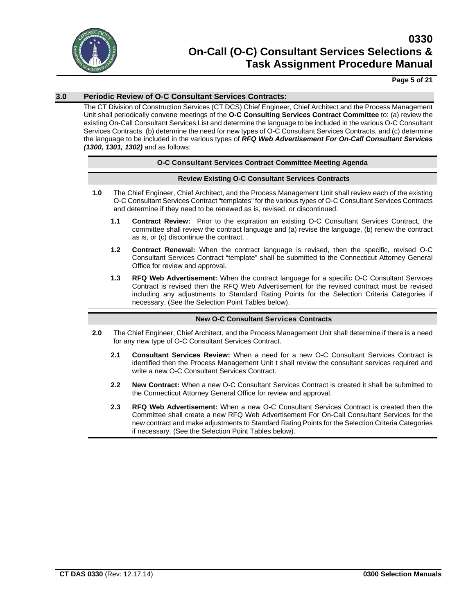

## **Page 5 of 21**

## **3.0 Periodic Review of O-C Consultant Services Contracts:**

The CT Division of Construction Services (CT DCS) Chief Engineer, Chief Architect and the Process Management Unit shall periodically convene meetings of the **O-C Consulting Services Contract Committee** to: (a) review the existing On-Call Consultant Services List and determine the language to be included in the various O-C Consultant Services Contracts, (b) determine the need for new types of O-C Consultant Services Contracts, and (c) determine the language to be included in the various types of *RFQ Web Advertisement For On-Call Consultant Services (1300, 1301, 1302)* and as follows:

#### **O-C Consultant Services Contract Committee Meeting Agenda**

#### **Review Existing O-C Consultant Services Contracts**

- **1.0** The Chief Engineer, Chief Architect, and the Process Management Unit shall review each of the existing O-C Consultant Services Contract "templates" for the various types of O-C Consultant Services Contracts and determine if they need to be renewed as is, revised, or discontinued.
	- **1.1 Contract Review:** Prior to the expiration an existing O-C Consultant Services Contract, the committee shall review the contract language and (a) revise the language, (b) renew the contract as is, or (c) discontinue the contract. .
	- **1.2 Contract Renewal:** When the contract language is revised, then the specific, revised O-C Consultant Services Contract "template" shall be submitted to the Connecticut Attorney General Office for review and approval.
	- **1.3 RFQ Web Advertisement:** When the contract language for a specific O-C Consultant Services Contract is revised then the RFQ Web Advertisement for the revised contract must be revised including any adjustments to Standard Rating Points for the Selection Criteria Categories if necessary. (See the Selection Point Tables below).

#### **New O-C Consultant Services Contracts**

- **2.0** The Chief Engineer, Chief Architect, and the Process Management Unit shall determine if there is a need for any new type of O-C Consultant Services Contract.
	- **2.1 Consultant Services Review:** When a need for a new O-C Consultant Services Contract is identified then the Process Management Unit t shall review the consultant services required and write a new O-C Consultant Services Contract.
	- **2.2 New Contract:** When a new O-C Consultant Services Contract is created it shall be submitted to the Connecticut Attorney General Office for review and approval.
	- **2.3 RFQ Web Advertisement:** When a new O-C Consultant Services Contract is created then the Committee shall create a new RFQ Web Advertisement For On-Call Consultant Services for the new contract and make adjustments to Standard Rating Points for the Selection Criteria Categories if necessary. (See the Selection Point Tables below).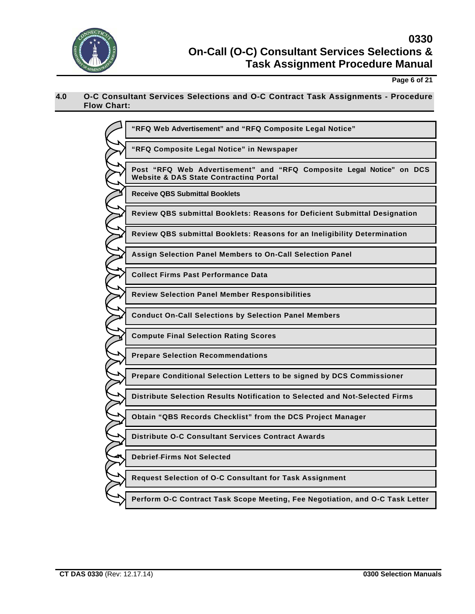

**Page 6 of 21**

## **4.0 O-C Consultant Services Selections and O-C Contract Task Assignments - Procedure Flow Chart:**

| "RFQ Web Advertisement" and "RFQ Composite Legal Notice"                                                                  |
|---------------------------------------------------------------------------------------------------------------------------|
| "RFQ Composite Legal Notice" in Newspaper                                                                                 |
| Post "RFQ Web Advertisement" and "RFQ Composite Legal Notice" on DCS<br><b>Website &amp; DAS State Contracting Portal</b> |
| <b>Receive QBS Submittal Booklets</b>                                                                                     |
| Review QBS submittal Booklets: Reasons for Deficient Submittal Designation                                                |
| Review QBS submittal Booklets: Reasons for an Ineligibility Determination                                                 |
| Assign Selection Panel Members to On-Call Selection Panel                                                                 |
| <b>Collect Firms Past Performance Data</b>                                                                                |
| <b>Review Selection Panel Member Responsibilities</b>                                                                     |
| <b>Conduct On-Call Selections by Selection Panel Members</b>                                                              |
| <b>Compute Final Selection Rating Scores</b>                                                                              |
| <b>Prepare Selection Recommendations</b>                                                                                  |
| Prepare Conditional Selection Letters to be signed by DCS Commissioner                                                    |
| Distribute Selection Results Notification to Selected and Not-Selected Firms                                              |
| Obtain "QBS Records Checklist" from the DCS Project Manager                                                               |
| <b>Distribute O-C Consultant Services Contract Awards</b>                                                                 |
| <b>Debrief-Firms Not Selected</b>                                                                                         |
| Request Selection of O-C Consultant for Task Assignment                                                                   |
| Perform O-C Contract Task Scope Meeting, Fee Negotiation, and O-C Task Letter                                             |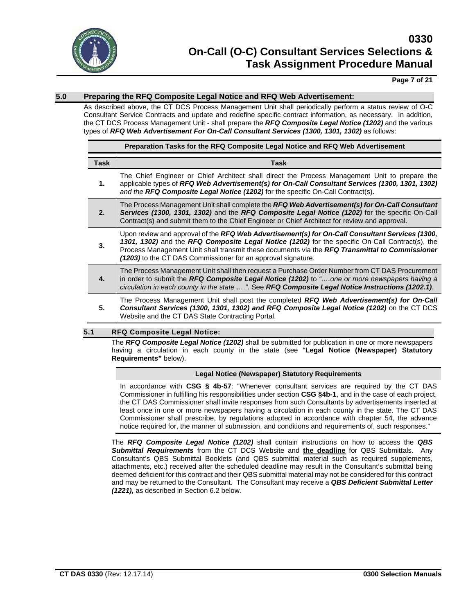

## **Page 7 of 21**

## **5.0 Preparing the RFQ Composite Legal Notice and RFQ Web Advertisement:**

As described above, the CT DCS Process Management Unit shall periodically perform a status review of O-C Consultant Service Contracts and update and redefine specific contract information, as necessary. In addition, the CT DCS Process Management Unit - shall prepare the *RFQ Composite Legal Notice (1202)* and the various types of *RFQ Web Advertisement For On-Call Consultant Services (1300, 1301, 1302)* as follows:

|             | Preparation Tasks for the RFQ Composite Legal Notice and RFQ Web Advertisement                                                                                                                                                                                                                                                                                       |
|-------------|----------------------------------------------------------------------------------------------------------------------------------------------------------------------------------------------------------------------------------------------------------------------------------------------------------------------------------------------------------------------|
| <b>Task</b> | <b>Task</b>                                                                                                                                                                                                                                                                                                                                                          |
| 1.          | The Chief Engineer or Chief Architect shall direct the Process Management Unit to prepare the<br>applicable types of RFQ Web Advertisement(s) for On-Call Consultant Services (1300, 1301, 1302)<br>and the RFQ Composite Legal Notice (1202) for the specific On-Call Contract(s).                                                                                  |
| 2.          | The Process Management Unit shall complete the RFQ Web Advertisement(s) for On-Call Consultant<br>Services (1300, 1301, 1302) and the RFQ Composite Legal Notice (1202) for the specific On-Call<br>Contract(s) and submit them to the Chief Engineer or Chief Architect for review and approval.                                                                    |
| 3.          | Upon review and approval of the RFQ Web Advertisement(s) for On-Call Consultant Services (1300,<br>1301, 1302) and the RFQ Composite Legal Notice (1202) for the specific On-Call Contract(s), the<br>Process Management Unit shall transmit these documents via the RFQ Transmittal to Commissioner<br>(1203) to the CT DAS Commissioner for an approval signature. |
| 4.          | The Process Management Unit shall then request a Purchase Order Number from CT DAS Procurement<br>in order to submit the RFQ Composite Legal Notice (1202) to "one or more newspapers having a<br>circulation in each county in the state ". See RFQ Composite Legal Notice Instructions (1202.1).                                                                   |
| 5.          | The Process Management Unit shall post the completed RFQ Web Advertisement(s) for On-Call<br>Consultant Services (1300, 1301, 1302) and RFQ Composite Legal Notice (1202) on the CT DCS<br>Website and the CT DAS State Contracting Portal.                                                                                                                          |

#### **5.1 RFQ Composite Legal Notice:**

The *RFQ Composite Legal Notice (1202)* shall be submitted for publication in one or more newspapers having a circulation in each county in the state (see "**Legal Notice (Newspaper) Statutory Requirements"** below).

### **Legal Notice (Newspaper) Statutory Requirements**

In accordance with **CSG § 4b-57**: "Whenever consultant services are required by the CT DAS Commissioner in fulfilling his responsibilities under section **CSG §4b-1**, and in the case of each project, the CT DAS Commissioner shall invite responses from such Consultants by advertisements inserted at least once in one or more newspapers having a circulation in each county in the state. The CT DAS Commissioner shall prescribe, by regulations adopted in accordance with chapter 54, the advance notice required for, the manner of submission, and conditions and requirements of, such responses."

The *RFQ Composite Legal Notice (1202)* shall contain instructions on how to access the *QBS Submittal Requirements* from the CT DCS Website and **the deadline** for QBS Submittals. Any Consultant's QBS Submittal Booklets (and QBS submittal material such as required supplements, attachments, etc.) received after the scheduled deadline may result in the Consultant's submittal being deemed deficient for this contract and their QBS submittal material may not be considered for this contract and may be returned to the Consultant. The Consultant may receive a *QBS Deficient Submittal Letter (1221),* as described in Section 6.2 below.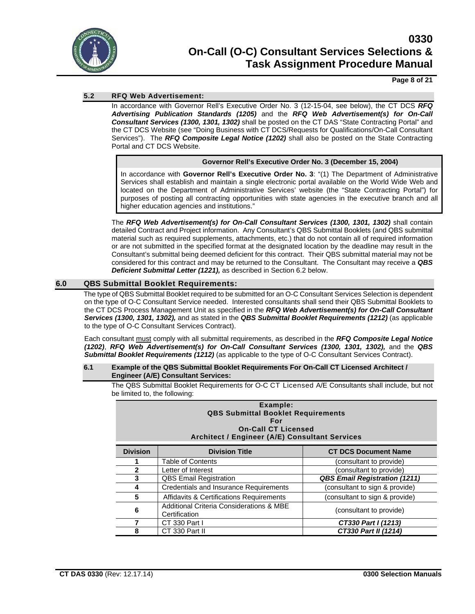

## **Page 8 of 21**

## **5.2 RFQ Web Advertisement:**

In accordance with Governor Rell's Executive Order No. 3 (12-15-04, see below), the CT DCS *RFQ Advertising Publication Standards (1205)* and the *RFQ Web Advertisement(s) for On-Call Consultant Services (1300, 1301, 1302)* shall be posted on the CT DAS "State Contracting Portal" and the CT DCS Website (see "Doing Business with CT DCS/Requests for Qualifications/On-Call Consultant Services"). The *RFQ Composite Legal Notice (1202)* shall also be posted on the State Contracting Portal and CT DCS Website.

#### **Governor Rell's Executive Order No. 3 (December 15, 2004)**

In accordance with **Governor Rell's Executive Order No. 3**: "(1) The Department of Administrative Services shall establish and maintain a single electronic portal available on the World Wide Web and located on the Department of Administrative Services' website (the "State Contracting Portal") for purposes of posting all contracting opportunities with state agencies in the executive branch and all higher education agencies and institutions."

The *RFQ Web Advertisement(s) for On-Call Consultant Services (1300, 1301, 1302)* shall contain detailed Contract and Project information. Any Consultant's QBS Submittal Booklets (and QBS submittal material such as required supplements, attachments, etc.) that do not contain all of required information or are not submitted in the specified format at the designated location by the deadline may result in the Consultant's submittal being deemed deficient for this contract. Their QBS submittal material may not be considered for this contract and may be returned to the Consultant. The Consultant may receive a *QBS Deficient Submittal Letter (1221),* as described in Section 6.2 below.

## **6.0 QBS Submittal Booklet Requirements:**

The type of QBS Submittal Booklet required to be submitted for an O-C Consultant Services Selection is dependent on the type of O-C Consultant Service needed. Interested consultants shall send their QBS Submittal Booklets to the CT DCS Process Management Unit as specified in the *RFQ Web Advertisement(s) for On-Call Consultant Services (1300, 1301, 1302),* and as stated in the *QBS Submittal Booklet Requirements (1212)* (as applicable to the type of O-C Consultant Services Contract).

Each consultant must comply with all submittal requirements, as described in the *RFQ Composite Legal Notice (1202)*, *RFQ Web Advertisement(s) for On-Call Consultant Services (1300, 1301, 1302),* and the *QBS Submittal Booklet Requirements (1212)* (as applicable to the type of O-C Consultant Services Contract).

#### **6.1 Example of the QBS Submittal Booklet Requirements For On-Call CT Licensed Architect / Engineer (A/E) Consultant Services:**

The QBS Submittal Booklet Requirements for O-C CT Licensed A/E Consultants shall include, but not be limited to, the following:

|                 | Example:<br><b>QBS Submittal Booklet Requirements</b><br>For<br><b>On-Call CT Licensed</b><br>Architect / Engineer (A/E) Consultant Services |                                      |
|-----------------|----------------------------------------------------------------------------------------------------------------------------------------------|--------------------------------------|
| <b>Division</b> | <b>Division Title</b>                                                                                                                        | <b>CT DCS Document Name</b>          |
|                 | Table of Contents                                                                                                                            | (consultant to provide)              |
| 2               | Letter of Interest                                                                                                                           | (consultant to provide)              |
| 3               | <b>QBS Email Registration</b>                                                                                                                | <b>QBS Email Registration (1211)</b> |
| 4               | Credentials and Insurance Requirements                                                                                                       | (consultant to sign & provide)       |
| 5               | <b>Affidavits &amp; Certifications Requirements</b>                                                                                          | (consultant to sign & provide)       |
| 6               | Additional Criteria Considerations & MBE<br>Certification                                                                                    | (consultant to provide)              |
|                 | CT 330 Part I                                                                                                                                | CT330 Part I (1213)                  |
| 8               | CT 330 Part II                                                                                                                               | CT330 Part II (1214)                 |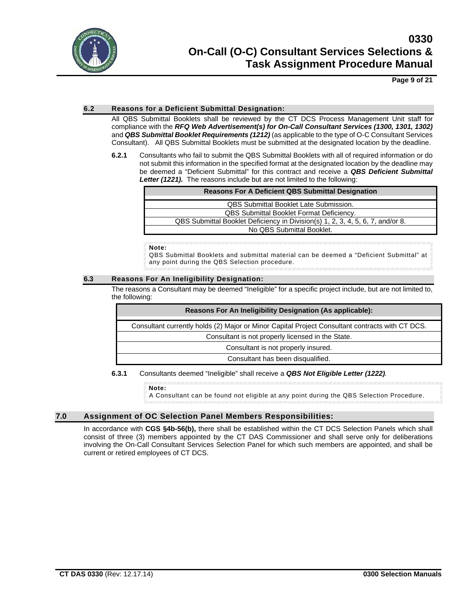

**Page 9 of 21**

### **6.2 Reasons for a Deficient Submittal Designation:**

All QBS Submittal Booklets shall be reviewed by the CT DCS Process Management Unit staff for compliance with the *RFQ Web Advertisement(s) for On-Call Consultant Services (1300, 1301, 1302)* and *QBS Submittal Booklet Requirements (1212)* (as applicable to the type of O-C Consultant Services Consultant). All QBS Submittal Booklets must be submitted at the designated location by the deadline.

**6.2.1** Consultants who fail to submit the QBS Submittal Booklets with all of required information or do not submit this information in the specified format at the designated location by the deadline may be deemed a "Deficient Submittal" for this contract and receive a *QBS Deficient Submittal Letter (1221).*The reasons include but are not limited to the following:

| <b>Reasons For A Deficient QBS Submittal Designation</b>                       |
|--------------------------------------------------------------------------------|
| <b>QBS Submittal Booklet Late Submission.</b>                                  |
| <b>QBS Submittal Booklet Format Deficiency.</b>                                |
| QBS Submittal Booklet Deficiency in Division(s) 1, 2, 3, 4, 5, 6, 7, and/or 8. |
| No QBS Submittal Booklet.                                                      |

**Note:**

QBS Submittal Booklets and submittal material can be deemed a "Deficient Submittal" at any point during the QBS Selection procedure.

#### **6.3 Reasons For An Ineligibility Designation:**

The reasons a Consultant may be deemed "Ineligible" for a specific project include, but are not limited to, the following:

| <b>Reasons For An Ineligibility Designation (As applicable):</b>                                |
|-------------------------------------------------------------------------------------------------|
| Consultant currently holds (2) Major or Minor Capital Project Consultant contracts with CT DCS. |
| Consultant is not properly licensed in the State.                                               |
| Consultant is not properly insured.                                                             |
| Consultant has been disqualified.                                                               |

#### **6.3.1** Consultants deemed "Ineligible" shall receive a *QBS Not Eligible Letter (1222).*

**Note:**

A Consultant can be found not eligible at any point during the QBS Selection Procedure.

## **7.0 Assignment of OC Selection Panel Members Responsibilities:**

In accordance with **CGS §4b-56(b),** there shall be established within the CT DCS Selection Panels which shall consist of three (3) members appointed by the CT DAS Commissioner and shall serve only for deliberations involving the On-Call Consultant Services Selection Panel for which such members are appointed, and shall be current or retired employees of CT DCS.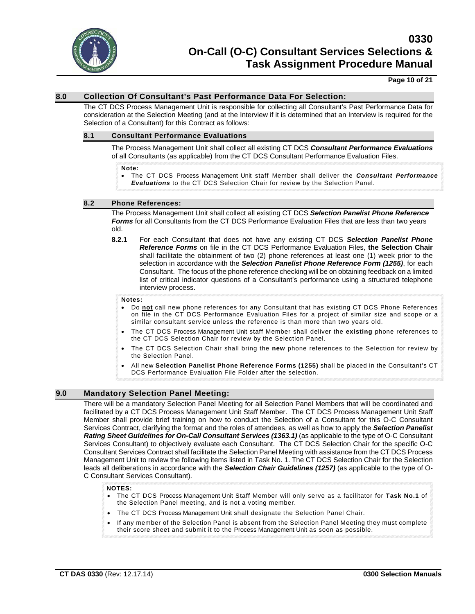

#### **Page 10 of 21**

### **8.0 Collection Of Consultant's Past Performance Data For Selection:**

The CT DCS Process Management Unit is responsible for collecting all Consultant's Past Performance Data for consideration at the Selection Meeting (and at the Interview if it is determined that an Interview is required for the Selection of a Consultant) for this Contract as follows:

#### **8.1 Consultant Performance Evaluations**

The Process Management Unit shall collect all existing CT DCS *Consultant Performance Evaluations* of all Consultants (as applicable) from the CT DCS Consultant Performance Evaluation Files.

#### **Note:**

• The CT DCS Process Management Unit staff Member shall deliver the *Consultant Performance Evaluations* to the CT DCS Selection Chair for review by the Selection Panel.

#### **8.2 Phone References:**

The Process Management Unit shall collect all existing CT DCS *Selection Panelist Phone Reference Forms* for all Consultants from the CT DCS Performance Evaluation Files that are less than two years old.

**8.2.1** For each Consultant that does not have any existing CT DCS *Selection Panelist Phone Reference Forms* on file in the CT DCS Performance Evaluation Files, **the Selection Chair**  shall facilitate the obtainment of two (2) phone references at least one (1) week prior to the selection in accordance with the *Selection Panelist Phone Reference Form (1255)*, for each Consultant. The focus of the phone reference checking will be on obtaining feedback on a limited list of critical indicator questions of a Consultant's performance using a structured telephone interview process.

#### **Notes:**

- Do **not** call new phone references for any Consultant that has existing CT DCS Phone References on file in the CT DCS Performance Evaluation Files for a project of similar size and scope or a similar consultant service unless the reference is than more than two years old.
- The CT DCS Process Management Unit staff Member shall deliver the **existing** phone references to the CT DCS Selection Chair for review by the Selection Panel.
- The CT DCS Selection Chair shall bring the **new** phone references to the Selection for review by the Selection Panel.
- All new **Selection Panelist Phone Reference Forms (1255)** shall be placed in the Consultant's CT DCS Performance Evaluation File Folder after the selection.

## **9.0 Mandatory Selection Panel Meeting:**

There will be a mandatory Selection Panel Meeting for all Selection Panel Members that will be coordinated and facilitated by a CT DCS Process Management Unit Staff Member. The CT DCS Process Management Unit Staff Member shall provide brief training on how to conduct the Selection of a Consultant for this O-C Consultant Services Contract, clarifying the format and the roles of attendees, as well as how to apply the *Selection Panelist Rating Sheet Guidelines for On-Call Consultant Services (1363.1)* (as applicable to the type of O-C Consultant Services Consultant) to objectively evaluate each Consultant. The CT DCS Selection Chair for the specific O-C Consultant Services Contract shall facilitate the Selection Panel Meeting with assistance from the CT DCS Process Management Unit to review the following items listed in Task No. 1. The CT DCS Selection Chair for the Selection leads all deliberations in accordance with the *Selection Chair Guidelines (1257)* (as applicable to the type of O-C Consultant Services Consultant)*.*

#### **NOTES:**

- The CT DCS Process Management Unit Staff Member will only serve as a facilitator for **Task No.1** of the Selection Panel meeting, and is not a voting member.
- The CT DCS Process Management Unit shall designate the Selection Panel Chair.
- If any member of the Selection Panel is absent from the Selection Panel Meeting they must complete their score sheet and submit it to the Process Management Unit as soon as possible.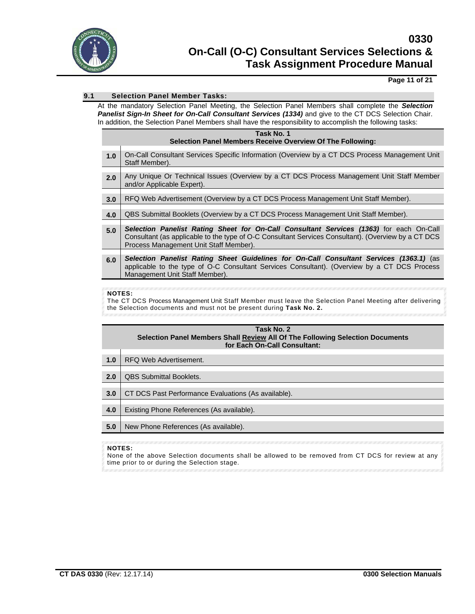

## **Page 11 of 21**

## **9.1 Selection Panel Member Tasks:**

At the mandatory Selection Panel Meeting, the Selection Panel Members shall complete the *Selection*  **Panelist Sign-In Sheet for On-Call Consultant Services (1334)** and give to the CT DCS Selection Chair. In addition, the Selection Panel Members shall have the responsibility to accomplish the following tasks:

|     | Task No. 1<br><b>Selection Panel Members Receive Overview Of The Following:</b>                                                                                                                                                          |
|-----|------------------------------------------------------------------------------------------------------------------------------------------------------------------------------------------------------------------------------------------|
| 1.0 | On-Call Consultant Services Specific Information (Overview by a CT DCS Process Management Unit<br>Staff Member).                                                                                                                         |
| 2.0 | Any Unique Or Technical Issues (Overview by a CT DCS Process Management Unit Staff Member<br>and/or Applicable Expert).                                                                                                                  |
| 3.0 | RFQ Web Advertisement (Overview by a CT DCS Process Management Unit Staff Member).                                                                                                                                                       |
| 4.0 | QBS Submittal Booklets (Overview by a CT DCS Process Management Unit Staff Member).                                                                                                                                                      |
| 5.0 | Selection Panelist Rating Sheet for On-Call Consultant Services (1363) for each On-Call<br>Consultant (as applicable to the type of O-C Consultant Services Consultant). (Overview by a CT DCS<br>Process Management Unit Staff Member). |
| 6.0 | Selection Panelist Rating Sheet Guidelines for On-Call Consultant Services (1363.1) (as<br>applicable to the type of O-C Consultant Services Consultant). (Overview by a CT DCS Process<br>Management Unit Staff Member).                |

#### **NOTES:**

The CT DCS Process Management Unit Staff Member must leave the Selection Panel Meeting after delivering the Selection documents and must not be present during **Task No. 2.**

| Task No. 2<br>Selection Panel Members Shall Review All Of The Following Selection Documents<br>for Each On-Call Consultant: |                                                     |
|-----------------------------------------------------------------------------------------------------------------------------|-----------------------------------------------------|
| 1.0                                                                                                                         | RFQ Web Advertisement.                              |
| 2.0                                                                                                                         | <b>QBS Submittal Booklets.</b>                      |
| 3.0                                                                                                                         | CT DCS Past Performance Evaluations (As available). |
| 4.0                                                                                                                         | Existing Phone References (As available).           |
| 5.0                                                                                                                         | New Phone References (As available).                |

### **NOTES:**

None of the above Selection documents shall be allowed to be removed from CT DCS for review at any time prior to or during the Selection stage.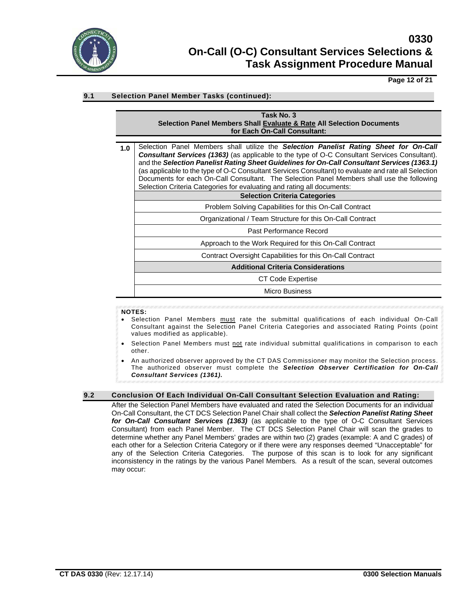

**Page 12 of 21**

## **9.1 Selection Panel Member Tasks (continued):**

| Task No. 3                                                            |
|-----------------------------------------------------------------------|
| Selection Panel Members Shall Evaluate & Rate All Selection Documents |
| for Each On-Call Consultant:                                          |

**1.0** Selection Panel Members shall utilize the *Selection Panelist Rating Sheet for On-Call Consultant Services (1363)* (as applicable to the type of O-C Consultant Services Consultant). and the *Selection Panelist Rating Sheet Guidelines for On-Call Consultant Services (1363.1)* (as applicable to the type of O-C Consultant Services Consultant) to evaluate and rate all Selection Documents for each On-Call Consultant. The Selection Panel Members shall use the following Selection Criteria Categories for evaluating and rating all documents:

| Selection Criteria Categories for evaluating and rating all documents. |
|------------------------------------------------------------------------|
| <b>Selection Criteria Categories</b>                                   |
| Problem Solving Capabilities for this On-Call Contract                 |
| Organizational / Team Structure for this On-Call Contract              |
| Past Performance Record                                                |
| Approach to the Work Required for this On-Call Contract                |
| Contract Oversight Capabilities for this On-Call Contract              |
| <b>Additional Criteria Considerations</b>                              |
| CT Code Expertise                                                      |
| <b>Micro Business</b>                                                  |

#### **NOTES:**

- Selection Panel Members must rate the submittal qualifications of each individual On-Call Consultant against the Selection Panel Criteria Categories and associated Rating Points (point values modified as applicable).
- Selection Panel Members must not rate individual submittal qualifications in comparison to each other.
- An authorized observer approved by the CT DAS Commissioner may monitor the Selection process. The authorized observer must complete the *Selection Observer Certification for On-Call Consultant Services (1361).*

#### **9.2 Conclusion Of Each Individual On-Call Consultant Selection Evaluation and Rating:**

After the Selection Panel Members have evaluated and rated the Selection Documents for an individual On-Call Consultant, the CT DCS Selection Panel Chair shall collect the *Selection Panelist Rating Sheet for On-Call Consultant Services (1363)* (as applicable to the type of O-C Consultant Services Consultant) from each Panel Member. The CT DCS Selection Panel Chair will scan the grades to determine whether any Panel Members' grades are within two (2) grades (example: A and C grades) of each other for a Selection Criteria Category or if there were any responses deemed "Unacceptable" for any of the Selection Criteria Categories. The purpose of this scan is to look for any significant inconsistency in the ratings by the various Panel Members*.* As a result of the scan, several outcomes may occur: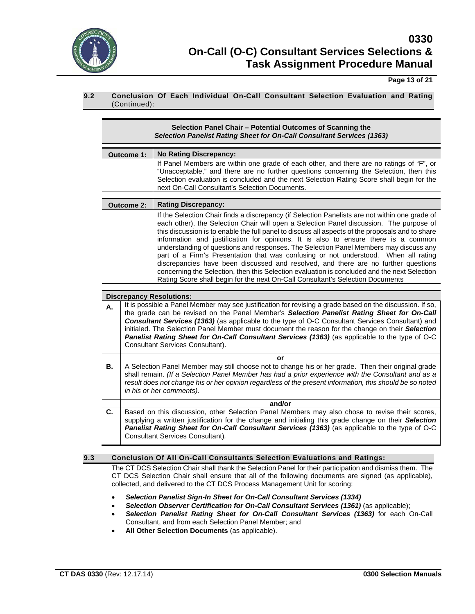

**Page 13 of 21**

## **9.2 Conclusion Of Each Individual On-Call Consultant Selection Evaluation and Rating** (Continued):

|     |                   | Selection Panel Chair - Potential Outcomes of Scanning the<br>Selection Panelist Rating Sheet for On-Call Consultant Services (1363)                                                                                                                                                                                                                                                                                                                                                                                                                                                                                                                                                                                                                                                                                                        |
|-----|-------------------|---------------------------------------------------------------------------------------------------------------------------------------------------------------------------------------------------------------------------------------------------------------------------------------------------------------------------------------------------------------------------------------------------------------------------------------------------------------------------------------------------------------------------------------------------------------------------------------------------------------------------------------------------------------------------------------------------------------------------------------------------------------------------------------------------------------------------------------------|
|     | Outcome 1:        | <b>No Rating Discrepancy:</b>                                                                                                                                                                                                                                                                                                                                                                                                                                                                                                                                                                                                                                                                                                                                                                                                               |
|     |                   | If Panel Members are within one grade of each other, and there are no ratings of "F", or<br>"Unacceptable," and there are no further questions concerning the Selection, then this<br>Selection evaluation is concluded and the next Selection Rating Score shall begin for the<br>next On-Call Consultant's Selection Documents.                                                                                                                                                                                                                                                                                                                                                                                                                                                                                                           |
|     | <b>Outcome 2:</b> | <b>Rating Discrepancy:</b>                                                                                                                                                                                                                                                                                                                                                                                                                                                                                                                                                                                                                                                                                                                                                                                                                  |
|     |                   | If the Selection Chair finds a discrepancy (if Selection Panelists are not within one grade of<br>each other), the Selection Chair will open a Selection Panel discussion. The purpose of<br>this discussion is to enable the full panel to discuss all aspects of the proposals and to share<br>information and justification for opinions. It is also to ensure there is a common<br>understanding of questions and responses. The Selection Panel Members may discuss any<br>part of a Firm's Presentation that was confusing or not understood. When all rating<br>discrepancies have been discussed and resolved, and there are no further questions<br>concerning the Selection, then this Selection evaluation is concluded and the next Selection<br>Rating Score shall begin for the next On-Call Consultant's Selection Documents |
|     |                   |                                                                                                                                                                                                                                                                                                                                                                                                                                                                                                                                                                                                                                                                                                                                                                                                                                             |
| Α.  |                   | <b>Discrepancy Resolutions:</b><br>It is possible a Panel Member may see justification for revising a grade based on the discussion. If so,<br>the grade can be revised on the Panel Member's Selection Panelist Rating Sheet for On-Call<br><b>Consultant Services (1363)</b> (as applicable to the type of O-C Consultant Services Consultant) and<br>initialed. The Selection Panel Member must document the reason for the change on their Selection<br>Panelist Rating Sheet for On-Call Consultant Services (1363) (as applicable to the type of O-C<br>Consultant Services Consultant).                                                                                                                                                                                                                                              |
|     |                   | or                                                                                                                                                                                                                                                                                                                                                                                                                                                                                                                                                                                                                                                                                                                                                                                                                                          |
| В.  |                   | A Selection Panel Member may still choose not to change his or her grade. Then their original grade<br>shall remain. (If a Selection Panel Member has had a prior experience with the Consultant and as a<br>result does not change his or her opinion regardless of the present information, this should be so noted<br>in his or her comments).                                                                                                                                                                                                                                                                                                                                                                                                                                                                                           |
|     |                   | and/or                                                                                                                                                                                                                                                                                                                                                                                                                                                                                                                                                                                                                                                                                                                                                                                                                                      |
| C.  |                   | Based on this discussion, other Selection Panel Members may also chose to revise their scores,<br>supplying a written justification for the change and initialing this grade change on their Selection<br>Panelist Rating Sheet for On-Call Consultant Services (1363) (as applicable to the type of O-C<br>Consultant Services Consultant).                                                                                                                                                                                                                                                                                                                                                                                                                                                                                                |
| 9.3 |                   | <b>Conclusion Of All On-Call Consultants Selection Evaluations and Ratings:</b>                                                                                                                                                                                                                                                                                                                                                                                                                                                                                                                                                                                                                                                                                                                                                             |
|     |                   | The CT DCS Selection Chair shall thank the Selection Panel for their participation and dismiss them. The<br>CT DCS Selection Chair shall ensure that all of the following documents are signed (as applicable),<br>collected, and delivered to the CT DCS Process Management Unit for scoring:                                                                                                                                                                                                                                                                                                                                                                                                                                                                                                                                              |
|     |                   | Selection Panelist Sign-In Sheet for On-Call Consultant Services (1334)<br>Selection Observer Certification for On-Call Consultant Services (1361) (as applicable);<br>Selection Panelist Rating Sheet for On-Call Consultant Services (1363) for each On-Call                                                                                                                                                                                                                                                                                                                                                                                                                                                                                                                                                                              |

- Consultant, and from each Selection Panel Member; and
- **All Other Selection Documents** (as applicable).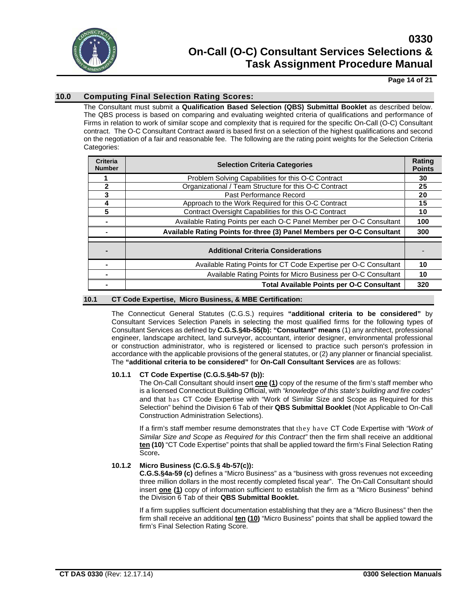

### **Page 14 of 21**

## **10.0 Computing Final Selection Rating Scores:**

The Consultant must submit a **Qualification Based Selection (QBS) Submittal Booklet** as described below. The QBS process is based on comparing and evaluating weighted criteria of qualifications and performance of Firms in relation to work of similar scope and complexity that is required for the specific On-Call (O-C) Consultant contract. The O-C Consultant Contract award is based first on a selection of the highest qualifications and second on the negotiation of a fair and reasonable fee. The following are the rating point weights for the Selection Criteria Categories:

| <b>Criteria</b><br><b>Number</b> | <b>Selection Criteria Categories</b>                                   | <b>Rating</b><br><b>Points</b> |
|----------------------------------|------------------------------------------------------------------------|--------------------------------|
|                                  | Problem Solving Capabilities for this O-C Contract                     | 30                             |
| 2                                | Organizational / Team Structure for this O-C Contract                  | 25                             |
|                                  | Past Performance Record                                                | 20                             |
| 4                                | Approach to the Work Required for this O-C Contract                    | 15                             |
| 5                                | Contract Oversight Capabilities for this O-C Contract                  | 10                             |
|                                  | Available Rating Points per each O-C Panel Member per O-C Consultant   | 100                            |
|                                  | Available Rating Points for-three (3) Panel Members per O-C Consultant | 300                            |
|                                  | <b>Additional Criteria Considerations</b>                              |                                |
|                                  | Available Rating Points for CT Code Expertise per O-C Consultant       | 10                             |
|                                  | Available Rating Points for Micro Business per O-C Consultant          | 10                             |
|                                  | <b>Total Available Points per O-C Consultant</b>                       | 320                            |

#### **10.1 CT Code Expertise, Micro Business, & MBE Certification:**

The Connecticut General Statutes (C.G.S.) requires **"additional criteria to be considered"** by Consultant Services Selection Panels in selecting the most qualified firms for the following types of Consultant Services as defined by **C.G.S.§4b-55(b): "Consultant" means** (1) any architect, professional engineer, landscape architect, land surveyor, accountant, interior designer, environmental professional or construction administrator, who is registered or licensed to practice such person's profession in accordance with the applicable provisions of the general statutes, or (2) any planner or financial specialist. The **"additional criteria to be considered"** for **On-Call Consultant Services** are as follows:

#### **10.1.1 CT Code Expertise (C.G.S.§4b-57 (b)):**

The On-Call Consultant should insert **one (1)** copy of the resume of the firm's staff member who is a licensed Connecticut Building Official, with *"knowledge of this state's building and fire codes"* and that has CT Code Expertise with "Work of Similar Size and Scope as Required for this Selection" behind the Division 6 Tab of their **QBS Submittal Booklet** (Not Applicable to On-Call Construction Administration Selections).

If a firm's staff member resume demonstrates that they have CT Code Expertise with *"Work of Similar Size and Scope as Required for this Contract"* then the firm shall receive an additional **ten (10)** "CT Code Expertise" points that shall be applied toward the firm's Final Selection Rating Score**.**

#### **10.1.2 Micro Business (C.G.S.§ 4b-57(c)):**

**C.G.S.§4a-59 (c)** defines a "Micro Business" as a "business with gross revenues not exceeding three million dollars in the most recently completed fiscal year". The On-Call Consultant should insert **one (1)** copy of information sufficient to establish the firm as a "Micro Business" behind the Division 6 Tab of their **QBS Submittal Booklet.**

If a firm supplies sufficient documentation establishing that they are a "Micro Business" then the firm shall receive an additional **ten (10)** "Micro Business" points that shall be applied toward the firm's Final Selection Rating Score.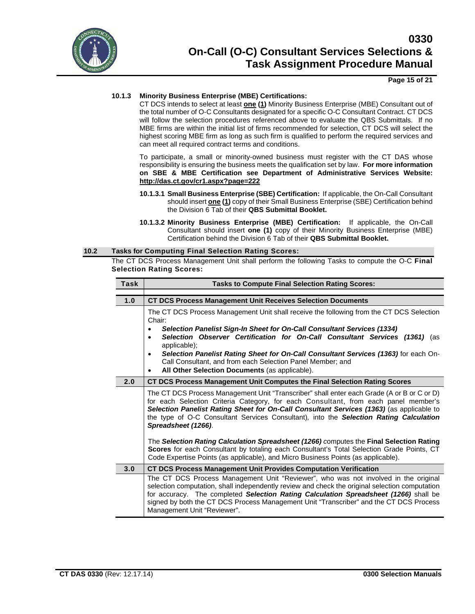

### **Page 15 of 21**

## **10.1.3 Minority Business Enterprise (MBE) Certifications:**

CT DCS intends to select at least **one (1)** Minority Business Enterprise (MBE) Consultant out of the total number of O-C Consultants designated for a specific O-C Consultant Contract. CT DCS will follow the selection procedures referenced above to evaluate the QBS Submittals. If no MBE firms are within the initial list of firms recommended for selection, CT DCS will select the highest scoring MBE firm as long as such firm is qualified to perform the required services and can meet all required contract terms and conditions.

To participate, a small or minority-owned business must register with the CT DAS whose responsibility is ensuring the business meets the qualification set by law. **For more information on SBE & MBE Certification see Department of Administrative Services Website: <http://das.ct.gov/cr1.aspx?page=222>**

- **10.1.3.1 Small Business Enterprise (SBE) Certification:** If applicable, the On-Call Consultant should insert **one (1)** copy of their Small Business Enterprise (SBE) Certification behind the Division 6 Tab of their **QBS Submittal Booklet.**
- **10.1.3.2 Minority Business Enterprise (MBE) Certification:** If applicable, the On-Call Consultant should insert **one (1)** copy of their Minority Business Enterprise (MBE) Certification behind the Division 6 Tab of their **QBS Submittal Booklet.**

#### **10.2 Tasks for Computing Final Selection Rating Scores:**

The CT DCS Process Management Unit shall perform the following Tasks to compute the O-C **Final Selection Rating Scores:**

| Task | <b>Tasks to Compute Final Selection Rating Scores:</b>                                                                                                                                                                                                                                                                                                                                                 |  |  |
|------|--------------------------------------------------------------------------------------------------------------------------------------------------------------------------------------------------------------------------------------------------------------------------------------------------------------------------------------------------------------------------------------------------------|--|--|
|      |                                                                                                                                                                                                                                                                                                                                                                                                        |  |  |
| 1.0  | <b>CT DCS Process Management Unit Receives Selection Documents</b>                                                                                                                                                                                                                                                                                                                                     |  |  |
|      | The CT DCS Process Management Unit shall receive the following from the CT DCS Selection<br>Chair:<br>Selection Panelist Sign-In Sheet for On-Call Consultant Services (1334)<br>$\bullet$                                                                                                                                                                                                             |  |  |
|      | Selection Observer Certification for On-Call Consultant Services (1361) (as<br>applicable);                                                                                                                                                                                                                                                                                                            |  |  |
|      | Selection Panelist Rating Sheet for On-Call Consultant Services (1363) for each On-<br>$\bullet$<br>Call Consultant, and from each Selection Panel Member; and<br>All Other Selection Documents (as applicable).<br>$\bullet$                                                                                                                                                                          |  |  |
| 2.0  | CT DCS Process Management Unit Computes the Final Selection Rating Scores                                                                                                                                                                                                                                                                                                                              |  |  |
|      | The CT DCS Process Management Unit "Transcriber" shall enter each Grade (A or B or C or D)<br>for each Selection Criteria Category, for each Consultant, from each panel member's<br>Selection Panelist Rating Sheet for On-Call Consultant Services (1363) (as applicable to<br>the type of O-C Consultant Services Consultant), into the Selection Rating Calculation<br>Spreadsheet (1266).         |  |  |
|      | The Selection Rating Calculation Spreadsheet (1266) computes the Final Selection Rating<br>Scores for each Consultant by totaling each Consultant's Total Selection Grade Points, CT<br>Code Expertise Points (as applicable), and Micro Business Points (as applicable).                                                                                                                              |  |  |
| 3.0  | <b>CT DCS Process Management Unit Provides Computation Verification</b>                                                                                                                                                                                                                                                                                                                                |  |  |
|      | The CT DCS Process Management Unit "Reviewer", who was not involved in the original<br>selection computation, shall independently review and check the original selection computation<br>for accuracy. The completed Selection Rating Calculation Spreadsheet (1266) shall be<br>signed by both the CT DCS Process Management Unit "Transcriber" and the CT DCS Process<br>Management Unit "Reviewer". |  |  |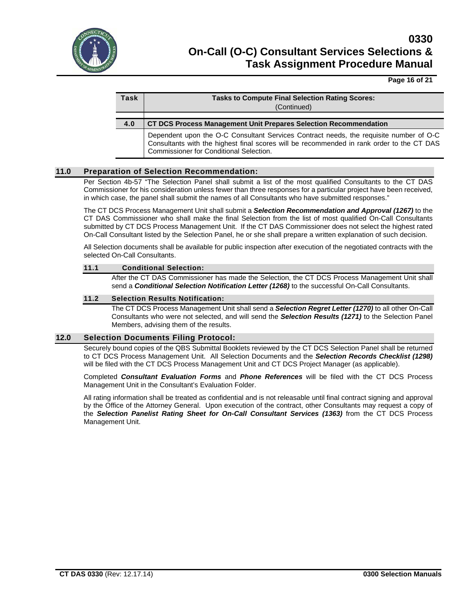

#### **Page 16 of 21**

| Task | <b>Tasks to Compute Final Selection Rating Scores:</b><br>(Continued)   |
|------|-------------------------------------------------------------------------|
|      |                                                                         |
| 4.0  | <b>CT DCS Process Management Unit Prepares Selection Recommendation</b> |
|      |                                                                         |

Dependent upon the O-C Consultant Services Contract needs, the requisite number of O-C Consultants with the highest final scores will be recommended in rank order to the CT DAS Commissioner for Conditional Selection.

#### **11.0 Preparation of Selection Recommendation:**

Per Section 4b-57 "The Selection Panel shall submit a list of the most qualified Consultants to the CT DAS Commissioner for his consideration unless fewer than three responses for a particular project have been received, in which case, the panel shall submit the names of all Consultants who have submitted responses."

The CT DCS Process Management Unit shall submit a *Selection Recommendation and Approval (1267)* to the CT DAS Commissioner who shall make the final Selection from the list of most qualified On-Call Consultants submitted by CT DCS Process Management Unit. If the CT DAS Commissioner does not select the highest rated On-Call Consultant listed by the Selection Panel, he or she shall prepare a written explanation of such decision.

All Selection documents shall be available for public inspection after execution of the negotiated contracts with the selected On-Call Consultants.

#### **11.1 Conditional Selection:**

After the CT DAS Commissioner has made the Selection, the CT DCS Process Management Unit shall send a *Conditional Selection Notification Letter (1268)* to the successful On-Call Consultants.

#### **11.2 Selection Results Notification:**

The CT DCS Process Management Unit shall send a *Selection Regret Letter (1270)* to all other On-Call Consultants who were not selected, and will send the *Selection Results (1271)* to the Selection Panel Members, advising them of the results.

#### **12.0 Selection Documents Filing Protocol:**

Securely bound copies of the QBS Submittal Booklets reviewed by the CT DCS Selection Panel shall be returned to CT DCS Process Management Unit. All Selection Documents and the *Selection Records Checklist (1298)* will be filed with the CT DCS Process Management Unit and CT DCS Project Manager (as applicable).

Completed *Consultant Evaluation Forms* and *Phone References* will be filed with the CT DCS Process Management Unit in the Consultant's Evaluation Folder.

All rating information shall be treated as confidential and is not releasable until final contract signing and approval by the Office of the Attorney General. Upon execution of the contract, other Consultants may request a copy of the *Selection Panelist Rating Sheet for On-Call Consultant Services (1363)* from the CT DCS Process Management Unit.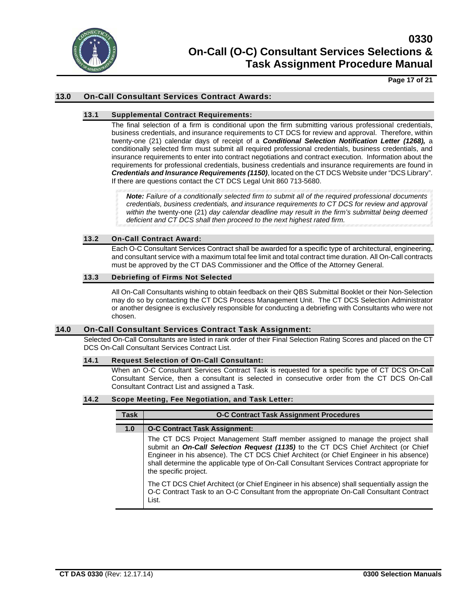

**Page 17 of 21**

## **13.0 On-Call Consultant Services Contract Awards:**

### **13.1 Supplemental Contract Requirements:**

The final selection of a firm is conditional upon the firm submitting various professional credentials, business credentials, and insurance requirements to CT DCS for review and approval. Therefore, within twenty-one (21) calendar days of receipt of a *Conditional Selection Notification Letter (1268),* a conditionally selected firm must submit all required professional credentials, business credentials, and insurance requirements to enter into contract negotiations and contract execution.Information about the requirements for professional credentials, business credentials and insurance requirements are found in *Credentials and Insurance Requirements (1150)*, located on the CT DCS Website under "DCS Library". If there are questions contact the CT DCS Legal Unit 860 713-5680.

*Note: Failure of a conditionally selected firm to submit all of the required professional documents credentials, business credentials, and insurance requirements to CT DCS for review and approval within the* twenty-one (21) *day calendar deadline may result in the firm's submittal being deemed deficient and CT DCS shall then proceed to the next highest rated firm.*

#### **13.2 On-Call Contract Award:**

Each O-C Consultant Services Contract shall be awarded for a specific type of architectural, engineering, and consultant service with a maximum total fee limit and total contract time duration. All On-Call contracts must be approved by the CT DAS Commissioner and the Office of the Attorney General.

#### **13.3 Debriefing of Firms Not Selected**

All On-Call Consultants wishing to obtain feedback on their QBS Submittal Booklet or their Non-Selection may do so by contacting the CT DCS Process Management Unit. The CT DCS Selection Administrator or another designee is exclusively responsible for conducting a debriefing with Consultants who were not chosen.

#### **14.0 On-Call Consultant Services Contract Task Assignment:**

Selected On-Call Consultants are listed in rank order of their Final Selection Rating Scores and placed on the CT DCS On-Call Consultant Services Contract List.

#### **14.1 Request Selection of On-Call Consultant:**

When an O-C Consultant Services Contract Task is requested for a specific type of CT DCS On-Call Consultant Service, then a consultant is selected in consecutive order from the CT DCS On-Call Consultant Contract List and assigned a Task.

### **14.2 Scope Meeting, Fee Negotiation, and Task Letter:**

| Task | <b>O-C Contract Task Assignment Procedures</b>                                                                                                                                                                                                                                                                                                                                           |
|------|------------------------------------------------------------------------------------------------------------------------------------------------------------------------------------------------------------------------------------------------------------------------------------------------------------------------------------------------------------------------------------------|
| 1.0  | <b>O-C Contract Task Assignment:</b>                                                                                                                                                                                                                                                                                                                                                     |
|      | The CT DCS Project Management Staff member assigned to manage the project shall<br>submit an On-Call Selection Request (1135) to the CT DCS Chief Architect (or Chief<br>Engineer in his absence). The CT DCS Chief Architect (or Chief Engineer in his absence)<br>shall determine the applicable type of On-Call Consultant Services Contract appropriate for<br>the specific project. |
|      | The CT DCS Chief Architect (or Chief Engineer in his absence) shall sequentially assign the<br>O-C Contract Task to an O-C Consultant from the appropriate On-Call Consultant Contract<br>List.                                                                                                                                                                                          |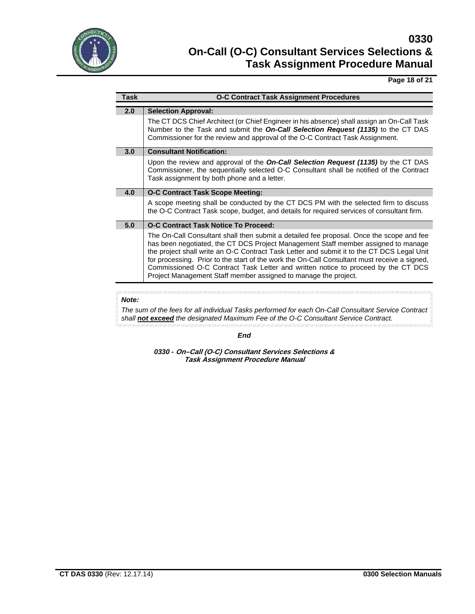

## **Page 18 of 21**

| <b>Task</b> | <b>O-C Contract Task Assignment Procedures</b>                                                                                                                                                                                                                                                                                                                                                                                                                                                                                       |
|-------------|--------------------------------------------------------------------------------------------------------------------------------------------------------------------------------------------------------------------------------------------------------------------------------------------------------------------------------------------------------------------------------------------------------------------------------------------------------------------------------------------------------------------------------------|
| 2.0         |                                                                                                                                                                                                                                                                                                                                                                                                                                                                                                                                      |
|             | <b>Selection Approval:</b>                                                                                                                                                                                                                                                                                                                                                                                                                                                                                                           |
|             | The CT DCS Chief Architect (or Chief Engineer in his absence) shall assign an On-Call Task<br>Number to the Task and submit the On-Call Selection Request (1135) to the CT DAS<br>Commissioner for the review and approval of the O-C Contract Task Assignment.                                                                                                                                                                                                                                                                      |
| 3.0         | <b>Consultant Notification:</b>                                                                                                                                                                                                                                                                                                                                                                                                                                                                                                      |
|             | Upon the review and approval of the <b>On-Call Selection Request (1135)</b> by the CT DAS<br>Commissioner, the sequentially selected O-C Consultant shall be notified of the Contract<br>Task assignment by both phone and a letter.                                                                                                                                                                                                                                                                                                 |
| 4.0         | O-C Contract Task Scope Meeting:                                                                                                                                                                                                                                                                                                                                                                                                                                                                                                     |
|             | A scope meeting shall be conducted by the CT DCS PM with the selected firm to discuss<br>the O-C Contract Task scope, budget, and details for required services of consultant firm.                                                                                                                                                                                                                                                                                                                                                  |
| 5.0         | O-C Contract Task Notice To Proceed:                                                                                                                                                                                                                                                                                                                                                                                                                                                                                                 |
|             | The On-Call Consultant shall then submit a detailed fee proposal. Once the scope and fee<br>has been negotiated, the CT DCS Project Management Staff member assigned to manage<br>the project shall write an O-C Contract Task Letter and submit it to the CT DCS Legal Unit<br>for processing. Prior to the start of the work the On-Call Consultant must receive a signed,<br>Commissioned O-C Contract Task Letter and written notice to proceed by the CT DCS<br>Project Management Staff member assigned to manage the project. |

## *Note:*

*The sum of the fees for all individual Tasks performed for each On-Call Consultant Service Contract shall not exceed the designated Maximum Fee of the O-C Consultant Service Contract.*

*End*

*0330 -* **On–Call (O-C) Consultant Services Selections & Task Assignment Procedure Manual**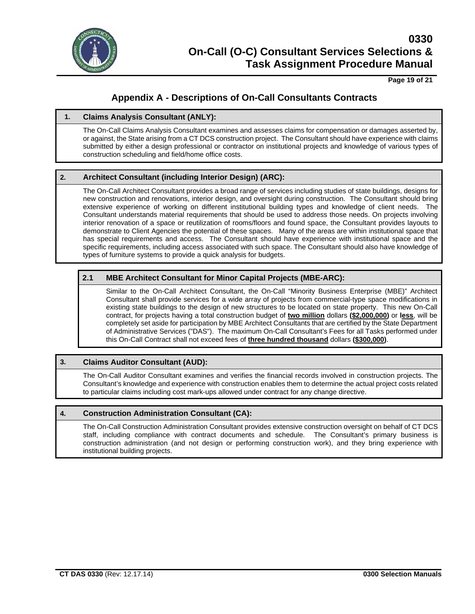

**Page 19 of 21**

## **Appendix A - Descriptions of On-Call Consultants Contracts**

## **1. Claims Analysis Consultant (ANLY):**

The On-Call Claims Analysis Consultant examines and assesses claims for compensation or damages asserted by, or against, the State arising from a CT DCS construction project. The Consultant should have experience with claims submitted by either a design professional or contractor on institutional projects and knowledge of various types of construction scheduling and field/home office costs.

## **2. Architect Consultant (including Interior Design) (ARC):**

The On-Call Architect Consultant provides a broad range of services including studies of state buildings, designs for new construction and renovations, interior design, and oversight during construction. The Consultant should bring extensive experience of working on different institutional building types and knowledge of client needs. The Consultant understands material requirements that should be used to address those needs. On projects involving interior renovation of a space or reutilization of rooms/floors and found space, the Consultant provides layouts to demonstrate to Client Agencies the potential of these spaces. Many of the areas are within institutional space that has special requirements and access. The Consultant should have experience with institutional space and the specific requirements, including access associated with such space. The Consultant should also have knowledge of types of furniture systems to provide a quick analysis for budgets.

## **2.1 MBE Architect Consultant for Minor Capital Projects (MBE-ARC):**

Similar to the On-Call Architect Consultant, the On-Call "Minority Business Enterprise (MBE)" Architect Consultant shall provide services for a wide array of projects from commercial-type space modifications in existing state buildings to the design of new structures to be located on state property. This new On-Call contract, for projects having a total construction budget of **two million** dollars **(\$2,000,000)** or **less**, will be completely set aside for participation by MBE Architect Consultants that are certified by the State Department of Administrative Services ("DAS"). The maximum On-Call Consultant's Fees for all Tasks performed under this On-Call Contract shall not exceed fees of **three hundred thousand** dollars **(\$300,000)**.

## **3. Claims Auditor Consultant (AUD):**

The On-Call Auditor Consultant examines and verifies the financial records involved in construction projects. The Consultant's knowledge and experience with construction enables them to determine the actual project costs related to particular claims including cost mark-ups allowed under contract for any change directive.

## **4. Construction Administration Consultant (CA):**

The On-Call Construction Administration Consultant provides extensive construction oversight on behalf of CT DCS staff, including compliance with contract documents and schedule. The Consultant's primary business is construction administration (and not design or performing construction work), and they bring experience with institutional building projects.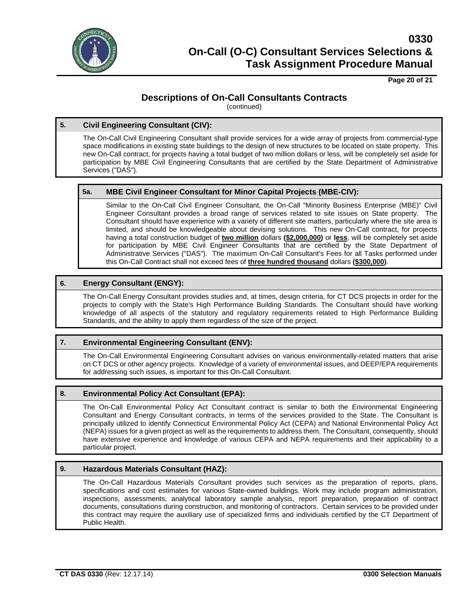

**Page 20 of 21**

## **Descriptions of On-Call Consultants Contracts**

(continued)

## **5. Civil Engineering Consultant (CIV):**

The On-Call Civil Engineering Consultant shall provide services for a wide array of projects from commercial-type space modifications in existing state buildings to the design of new structures to be located on state property. This new On-Call contract, for projects having a total budget of two million dollars or less, will be completely set aside for participation by MBE Civil Engineering Consultants that are certified by the State Department of Administrative Services ("DAS").

## **5a. MBE Civil Engineer Consultant for Minor Capital Projects (MBE-CIV):**

Similar to the On-Call Civil Engineer Consultant, the On-Call "Minority Business Enterprise (MBE)" Civil Engineer Consultant provides a broad range of services related to site issues on State property. The Consultant should have experience with a variety of different site matters, particularly where the site area is limited, and should be knowledgeable about devising solutions. This new On-Call contract, for projects having a total construction budget of **two million** dollars **(\$2,000,000)** or **less**, will be completely set aside for participation by MBE Civil Engineer Consultants that are certified by the State Department of Administrative Services ("DAS"). The maximum On-Call Consultant's Fees for all Tasks performed under this On-Call Contract shall not exceed fees of **three hundred thousand** dollars **(\$300,000)**.

## **6. Energy Consultant (ENGY):**

The On-Call Energy Consultant provides studies and, at times, design criteria, for CT DCS projects in order for the projects to comply with the State's High Performance Building Standards. The Consultant should have working knowledge of all aspects of the statutory and regulatory requirements related to High Performance Building Standards, and the ability to apply them regardless of the size of the project.

## **7. Environmental Engineering Consultant (ENV):**

The On-Call Environmental Engineering Consultant advises on various environmentally-related matters that arise on CT DCS or other agency projects. Knowledge of a variety of environmental issues, and DEEP/EPA requirements for addressing such issues, is important for this On-Call Consultant.

## **8. Environmental Policy Act Consultant (EPA):**

The On-Call Environmental Policy Act Consultant contract is similar to both the Environmental Engineering Consultant and Energy Consultant contracts, in terms of the services provided to the State. The Consultant is principally utilized to identify Connecticut Environmental Policy Act (CEPA) and National Environmental Policy Act (NEPA) issues for a given project as well as the requirements to address them. The Consultant, consequently, should have extensive experience and knowledge of various CEPA and NEPA requirements and their applicability to a particular project.

## **9. Hazardous Materials Consultant (HAZ):**

The On-Call Hazardous Materials Consultant provides such services as the preparation of reports, plans, specifications and cost estimates for various State-owned buildings. Work may include program administration, inspections, assessments, analytical laboratory sample analysis, report preparation, preparation of contract documents, consultations during construction, and monitoring of contractors. Certain services to be provided under this contract may require the auxiliary use of specialized firms and individuals certified by the CT Department of Public Health.